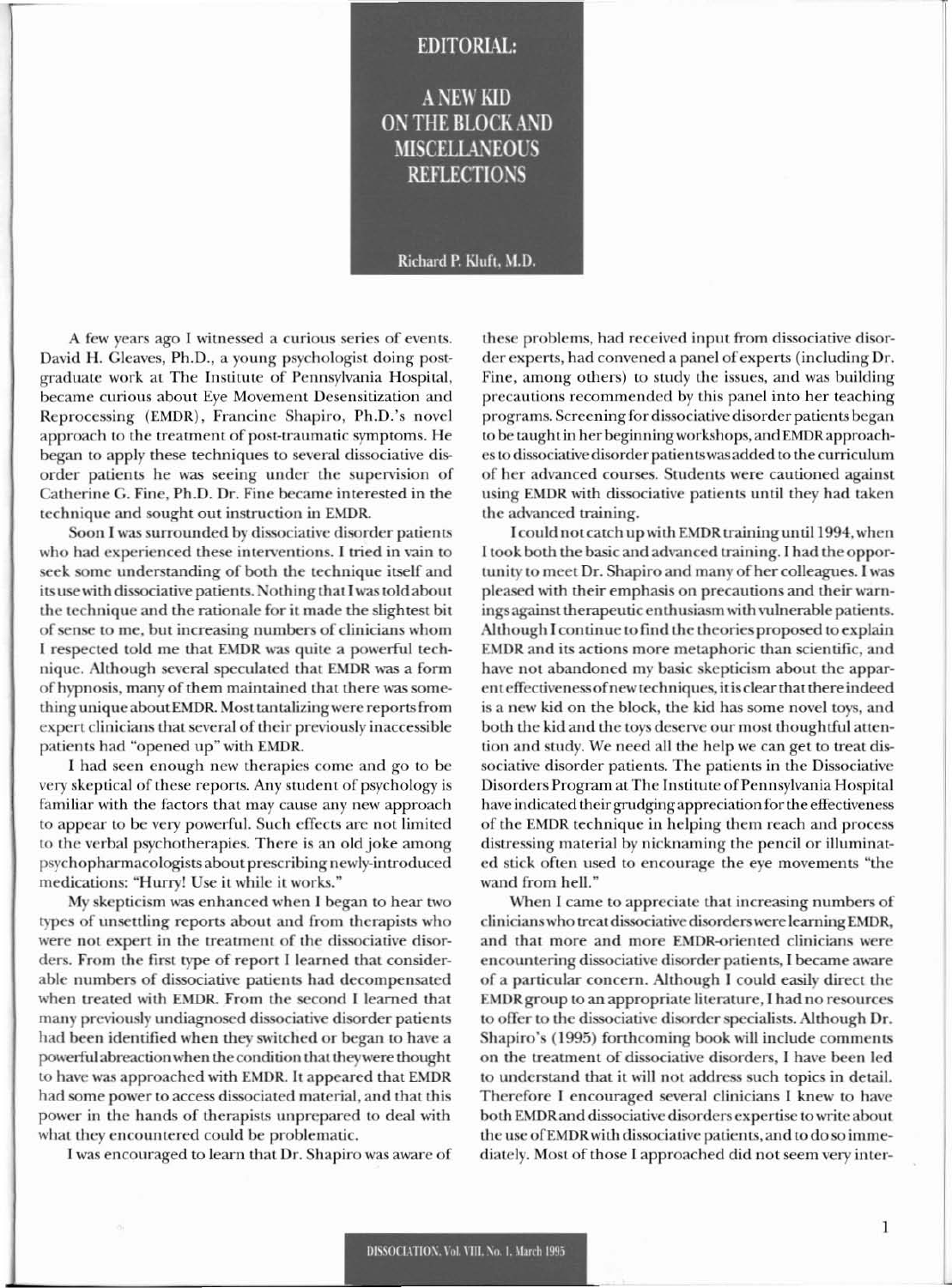## **EDITORIAL: A NEW KID ON THE BLOCK AND MISCELLANEOUS REFLECTIONS**

Richard P. Kluft, M.D.

A few years ago I witnessed a curious series of events. David H. Gleaves, Ph.D., a young psychologist doing postgraduate work at The Institute of Pennsylvania Hospital, became curious about Eye Movement Desensitization and Reprocessing (EMDR), Francine Shapiro, Ph.D.'s novel approach to the treatment of post-traumatic symptoms. He began to apply these techniques to several dissociative disorder patients he was seeing under the supervision of Catherine G. Fine, Ph.D. Dr. Fine became interested in the technique and sought out instruction in EMDR.

Soon I was surrounded by dissociative disorder patients who had experienced these interventions. I tried in vain to seek some understanding of both the technique itself and its use with dissociative patients. Nothing that I was told about the technique and the rationale for it made the slightest bit of sense to me, but increasing numbers of clinicians whom I respected told me that EMDR was quite a powerful technique. Although several speculated that EMDR was a form of hypnosis, many of them maintained that there was something unique about EMDR. Most tantalizing were reports from expert clinicians that several of their previously inaccessible patients had "opened up" with EMDR.

I had seen enough new therapies come and go to be very skeptical of these reports. Any student of psychology is familiar with the factors that may cause any new approach to appear to be very powerful. Such effects are not limited to the verbal psychotherapies. There is an old joke among psychopharmacologists about prescribing newly-introduced medications: "Hurry! Use it while it works."

My skepticism was enhanced when I began to hear two types of unsettling reports about and from therapists who were not expert in the treatment of the dissociative disorders. From the first type of report I learned that considerable numbers of dissociative patients had decompensated when treated with EMDR. From the second I learned that many previously undiagnosed dissociative disorder patients had been identified when they switched or began to have a powerful abreaction when the condition that they were thought to have was approached with EMDR. It appeared that EMDR had some power to access dissociated material, and that this power in the hands of therapists unprepared to deal with what they encountered could be problematic.

I was encouraged to learn that Dr. Shapiro was aware of

these problems, had received input from dissociative disorder experts, had convened a panel of experts (including Dr. Fine, among others) to study the issues, and was building precautions recommended by this panel into her teaching programs. Screening for dissociative disorder patients began to be taught in her beginning workshops, and EMDR approaches to dissociative disorder patients was added to the curriculum of her advanced courses. Students were cautioned against using EMDR with dissociative patients until they had taken the advanced training.

I could not catch up with EMDR training until 1994, when I took both the basic and advanced training. I had the opportunity to meet Dr. Shapiro and many of her colleagues. I was pleased with their emphasis on precautions and their warnings against therapeutic enthusiasm with vulnerable patients. Although I continue to find the theories proposed to explain EMDR and its actions more metaphoric than scientific, and have not abandoned my basic skepticism about the apparent effectiveness of new techniques, it is clear that there indeed is a new kid on the block, the kid has some novel toys, and both the kid and the toys deserve our most thoughtful attention and study. We need all the help we can get to treat dissociative disorder patients. The patients in the Dissociative Disorders Program at The Institute of Pennsylvania Hospital have indicated their grudging appreciation for the effectiveness of the EMDR technique in helping them reach and process distressing material by nicknaming the pencil or illuminated stick often used to encourage the eye movements "the wand from hell."

When I came to appreciate that increasing numbers of clinicians who treat dissociative disorders were learning EMDR, and that more and more EMDR-oriented clinicians were encountering dissociative disorder patients, I became aware of a particular concern. Although I could easily direct the EMDR group to an appropriate literature, I had no resources to offer to the dissociative disorder specialists. Although Dr. Shapiro's (1995) forthcoming book will include comments on the treatment of dissociative disorders, I have been led to understand that it will not address such topics in detail. Therefore I encouraged several clinicians I knew to have both EMDR and dissociative disorders expertise to write about the use of EMDR with dissociative patients, and to do so immediately. Most of those I approached did not seem very inter